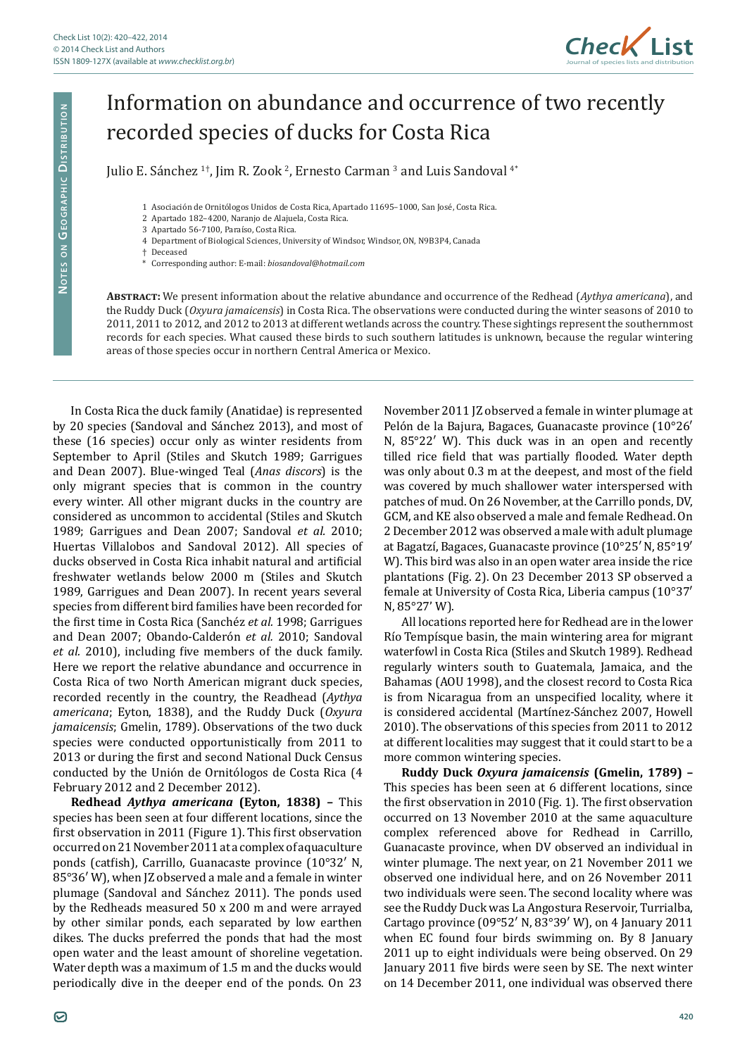

## Information on abundance and occurrence of two recently recorded species of ducks for Costa Rica

Julio E. Sánchez <sup>1+</sup>, Jim R. Zook <sup>2</sup>, Ernesto Carman <sup>3</sup> and Luis Sandoval <sup>4</sup><sup>\*</sup>

1 Asociación de Ornitólogos Unidos de Costa Rica, Apartado 11695–1000, San José, Costa Rica.

- 3 Apartado 56-7100, Paraíso, Costa Rica.
- 4 Department of Biological Sciences, University of Windsor, Windsor, ON, N9B3P4, Canada
- † Deceased
- \* Corresponding author: E-mail: *biosandoval@hotmail.com*

**Abstract:** We present information about the relative abundance and occurrence of the Redhead (*Aythya americana*), and the Ruddy Duck (*Oxyura jamaicensis*) in Costa Rica. The observations were conducted during the winter seasons of 2010 to 2011, 2011 to 2012, and 2012 to 2013 at different wetlands across the country. These sightings represent the southernmost records for each species. What caused these birds to such southern latitudes is unknown, because the regular wintering areas of those species occur in northern Central America or Mexico.

In Costa Rica the duck family (Anatidae) is represented by 20 species (Sandoval and Sánchez 2013), and most of these (16 species) occur only as winter residents from September to April (Stiles and Skutch 1989; Garrigues and Dean 2007). Blue-winged Teal (*Anas discors*) is the only migrant species that is common in the country every winter. All other migrant ducks in the country are considered as uncommon to accidental (Stiles and Skutch 1989; Garrigues and Dean 2007; Sandoval *et al.* 2010; Huertas Villalobos and Sandoval 2012). All species of ducks observed in Costa Rica inhabit natural and artificial freshwater wetlands below 2000 m (Stiles and Skutch 1989, Garrigues and Dean 2007). In recent years several species from different bird families have been recorded for the first time in Costa Rica (Sanchéz *et al.* 1998; Garrigues and Dean 2007; Obando-Calderón *et al.* 2010; Sandoval *et al.* 2010), including five members of the duck family. Here we report the relative abundance and occurrence in Costa Rica of two North American migrant duck species, recorded recently in the country, the Readhead (*Aythya americana*; Eyton, 1838), and the Ruddy Duck (*Oxyura jamaicensis*; Gmelin, 1789). Observations of the two duck species were conducted opportunistically from 2011 to 2013 or during the first and second National Duck Census conducted by the Unión de Ornitólogos de Costa Rica (4 February 2012 and 2 December 2012).

**Redhead** *Aythya americana* **(Eyton, 1838) –** This species has been seen at four different locations, since the first observation in 2011 (Figure 1). This first observation occurred on 21 November 2011 at a complex of aquaculture ponds (catfish), Carrillo, Guanacaste province (10°32′ N, 85°36′ W), when JZ observed a male and a female in winter plumage (Sandoval and Sánchez 2011). The ponds used by the Redheads measured 50 x 200 m and were arrayed by other similar ponds, each separated by low earthen dikes. The ducks preferred the ponds that had the most open water and the least amount of shoreline vegetation. Water depth was a maximum of 1.5 m and the ducks would periodically dive in the deeper end of the ponds. On 23 November 2011 JZ observed a female in winter plumage at Pelón de la Bajura, Bagaces, Guanacaste province (10°26′ N, 85°22′ W). This duck was in an open and recently tilled rice field that was partially flooded. Water depth was only about 0.3 m at the deepest, and most of the field was covered by much shallower water interspersed with patches of mud. On 26 November, at the Carrillo ponds, DV, GCM, and KE also observed a male and female Redhead. On 2 December 2012 was observed a male with adult plumage at Bagatzí, Bagaces, Guanacaste province (10°25′ N, 85°19′ W). This bird was also in an open water area inside the rice plantations (Fig. 2). On 23 December 2013 SP observed a female at University of Costa Rica, Liberia campus (10°37′ N, 85°27' W).

All locations reported here for Redhead are in the lower Río Tempísque basin, the main wintering area for migrant waterfowl in Costa Rica (Stiles and Skutch 1989). Redhead regularly winters south to Guatemala, Jamaica, and the Bahamas (AOU 1998), and the closest record to Costa Rica is from Nicaragua from an unspecified locality, where it is considered accidental (Martínez-Sánchez 2007, Howell 2010). The observations of this species from 2011 to 2012 at different localities may suggest that it could start to be a more common wintering species.

**Ruddy Duck** *Oxyura jamaicensis* **(Gmelin, 1789) –** This species has been seen at 6 different locations, since the first observation in 2010 (Fig. 1). The first observation occurred on 13 November 2010 at the same aquaculture complex referenced above for Redhead in Carrillo, Guanacaste province, when DV observed an individual in winter plumage. The next year, on 21 November 2011 we observed one individual here, and on 26 November 2011 two individuals were seen. The second locality where was see the Ruddy Duck was La Angostura Reservoir, Turrialba, Cartago province (09°52′ N, 83°39′ W), on 4 January 2011 when EC found four birds swimming on. By 8 January 2011 up to eight individuals were being observed. On 29 January 2011 five birds were seen by SE. The next winter on 14 December 2011, one individual was observed there

<sup>2</sup> Apartado 182–4200, Naranjo de Alajuela, Costa Rica.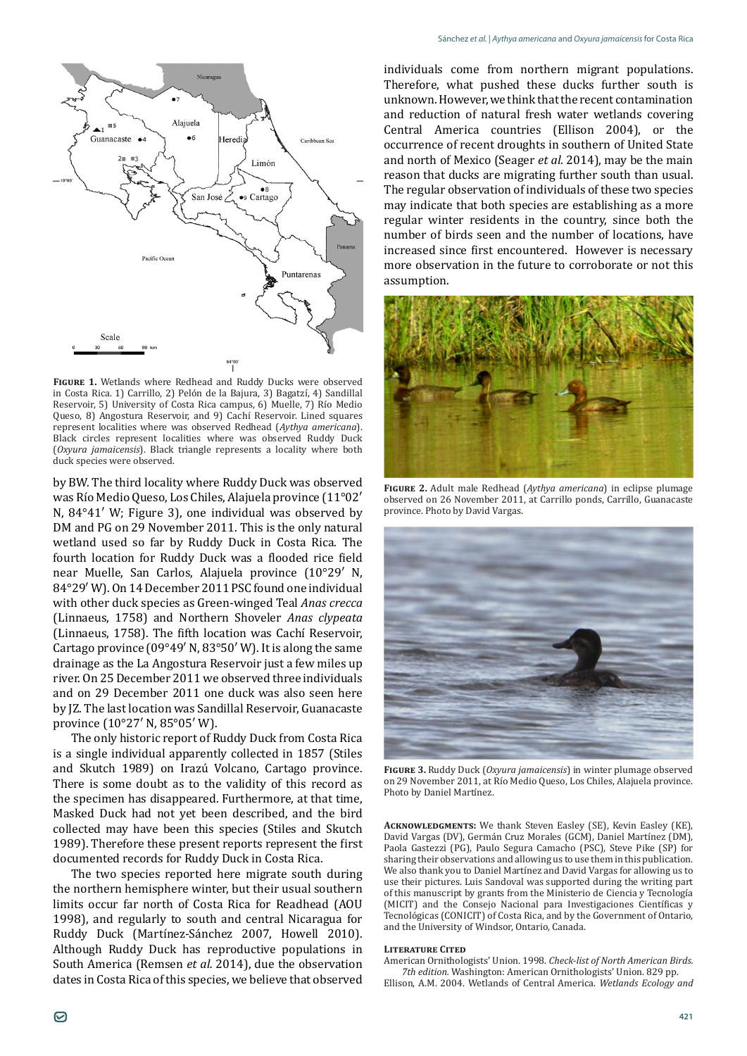

**Figure 1.** Wetlands where Redhead and Ruddy Ducks were observed in Costa Rica. 1) Carrillo, 2) Pelón de la Bajura, 3) Bagatzí, 4) Sandillal Reservoir, 5) University of Costa Rica campus, 6) Muelle, 7) Río Medio Queso, 8) Angostura Reservoir, and 9) Cachí Reservoir. Lined squares represent localities where was observed Redhead (*Aythya americana*). Black circles represent localities where was observed Ruddy Duck (*Oxyura jamaicensis*). Black triangle represents a locality where both duck species were observed.

by BW. The third locality where Ruddy Duck was observed was Río Medio Queso, Los Chiles, Alajuela province (11°02′ N, 84°41′ W; Figure 3), one individual was observed by DM and PG on 29 November 2011. This is the only natural wetland used so far by Ruddy Duck in Costa Rica. The fourth location for Ruddy Duck was a flooded rice field near Muelle, San Carlos, Alajuela province (10°29′ N, 84°29′ W). On 14 December 2011 PSC found one individual with other duck species as Green-winged Teal *Anas crecca* (Linnaeus, 1758) and Northern Shoveler *Anas clypeata* (Linnaeus, 1758). The fifth location was Cachí Reservoir, Cartago province (09°49′ N, 83°50′ W). It is along the same drainage as the La Angostura Reservoir just a few miles up river. On 25 December 2011 we observed three individuals and on 29 December 2011 one duck was also seen here by JZ. The last location was Sandillal Reservoir, Guanacaste province (10°27′ N, 85°05′ W).

The only historic report of Ruddy Duck from Costa Rica is a single individual apparently collected in 1857 (Stiles and Skutch 1989) on Irazú Volcano, Cartago province. There is some doubt as to the validity of this record as the specimen has disappeared. Furthermore, at that time, Masked Duck had not yet been described, and the bird collected may have been this species (Stiles and Skutch 1989). Therefore these present reports represent the first documented records for Ruddy Duck in Costa Rica.

The two species reported here migrate south during the northern hemisphere winter, but their usual southern limits occur far north of Costa Rica for Readhead (AOU 1998), and regularly to south and central Nicaragua for Ruddy Duck (Martínez-Sánchez 2007, Howell 2010). Although Ruddy Duck has reproductive populations in South America (Remsen *et al.* 2014), due the observation dates in Costa Rica of this species, we believe that observed

individuals come from northern migrant populations. Therefore, what pushed these ducks further south is unknown. However, we think that the recent contamination and reduction of natural fresh water wetlands covering Central America countries (Ellison 2004), or the occurrence of recent droughts in southern of United State and north of Mexico (Seager *et al.* 2014), may be the main reason that ducks are migrating further south than usual. The regular observation of individuals of these two species may indicate that both species are establishing as a more regular winter residents in the country, since both the number of birds seen and the number of locations, have increased since first encountered. However is necessary more observation in the future to corroborate or not this assumption.



**Figure 2.** Adult male Redhead (*Aythya americana*) in eclipse plumage observed on 26 November 2011, at Carrillo ponds, Carrillo, Guanacaste province. Photo by David Vargas.



**Figure 3.** Ruddy Duck (*Oxyura jamaicensis*) in winter plumage observed on 29 November 2011, at Río Medio Queso, Los Chiles, Alajuela province. Photo by Daniel Martínez.

**Acknowledgments:** We thank Steven Easley (SE), Kevin Easley (KE), David Vargas (DV), Germán Cruz Morales (GCM), Daniel Martínez (DM), Paola Gastezzi (PG), Paulo Segura Camacho (PSC), Steve Pike (SP) for sharing their observations and allowing us to use them in this publication. We also thank you to Daniel Martínez and David Vargas for allowing us to use their pictures. Luis Sandoval was supported during the writing part of this manuscript by grants from the Ministerio de Ciencia y Tecnología (MICIT) and the Consejo Nacional para Investigaciones Científicas y Tecnológicas (CONICIT) of Costa Rica, and by the Government of Ontario, and the University of Windsor, Ontario, Canada.

## **Literature Cited**

American Ornithologists' Union. 1998. *Check-list of North American Birds. 7th edition.* Washington: American Ornithologists' Union. 829 pp.

Ellison, A.M. 2004. Wetlands of Central America. *Wetlands Ecology and*